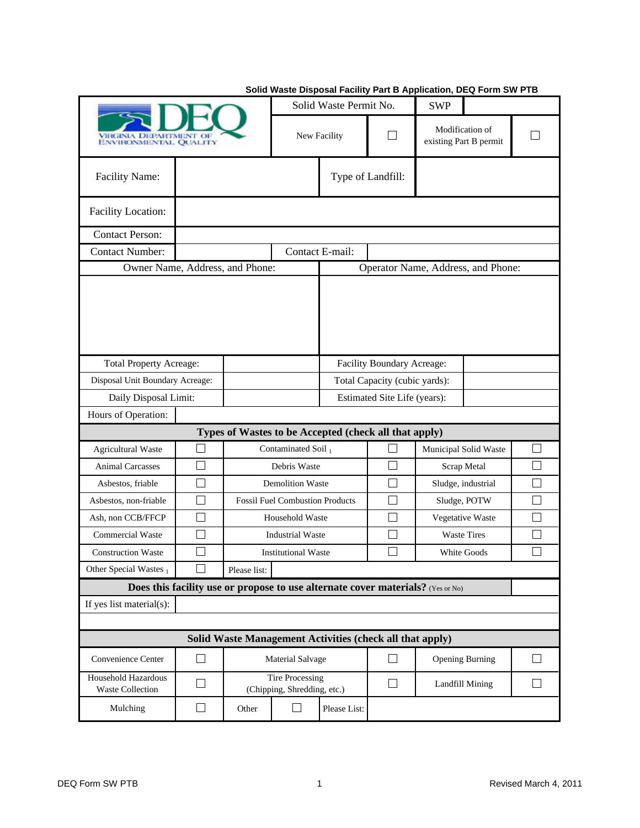| VIRONMENTAL QUALITY                                                             |        |                                                                                         | Solid Waste Permit No.     |                               | <b>SWP</b>        |                                           |                                    |        |  |  |
|---------------------------------------------------------------------------------|--------|-----------------------------------------------------------------------------------------|----------------------------|-------------------------------|-------------------|-------------------------------------------|------------------------------------|--------|--|--|
|                                                                                 |        |                                                                                         | New Facility               |                               |                   | Modification of<br>existing Part B permit |                                    |        |  |  |
| Facility Name:                                                                  |        | Type of Landfill:                                                                       |                            |                               |                   |                                           |                                    |        |  |  |
| Facility Location:                                                              |        |                                                                                         |                            |                               |                   |                                           |                                    |        |  |  |
| <b>Contact Person:</b>                                                          |        |                                                                                         |                            |                               |                   |                                           |                                    |        |  |  |
| <b>Contact Number:</b>                                                          |        |                                                                                         |                            | Contact E-mail:               |                   |                                           |                                    |        |  |  |
| Owner Name, Address, and Phone:                                                 |        |                                                                                         |                            |                               |                   |                                           | Operator Name, Address, and Phone: |        |  |  |
|                                                                                 |        |                                                                                         |                            |                               |                   |                                           |                                    |        |  |  |
| <b>Total Property Acreage:</b>                                                  |        |                                                                                         | Facility Boundary Acreage: |                               |                   |                                           |                                    |        |  |  |
| Disposal Unit Boundary Acreage:                                                 |        |                                                                                         |                            | Total Capacity (cubic yards): |                   |                                           |                                    |        |  |  |
| Daily Disposal Limit:                                                           |        |                                                                                         |                            | Estimated Site Life (years):  |                   |                                           |                                    |        |  |  |
| Hours of Operation:                                                             |        |                                                                                         |                            |                               |                   |                                           |                                    |        |  |  |
| <b>Agricultural Waste</b>                                                       | $\sim$ | Types of Wastes to be Accepted (check all that apply)<br>Contaminated Soil <sub>1</sub> |                            |                               |                   |                                           | Municipal Solid Waste              |        |  |  |
| <b>Animal Carcasses</b>                                                         | ┑      | Debris Waste                                                                            |                            |                               |                   |                                           | Scrap Metal                        |        |  |  |
| Asbestos, friable                                                               | $\Box$ | <b>Demolition Waste</b>                                                                 |                            |                               | $\sim$            | Sludge, industrial                        |                                    |        |  |  |
| Asbestos, non-friable                                                           | T.     | <b>Fossil Fuel Combustion Products</b>                                                  |                            |                               |                   |                                           | Sludge, POTW                       |        |  |  |
| Ash, non CCB/FFCP                                                               |        | Household Waste                                                                         |                            |                               |                   |                                           | Vegetative Waste                   |        |  |  |
| <b>Commercial Waste</b>                                                         |        | <b>Industrial Waste</b>                                                                 |                            |                               | L                 | <b>Waste Tires</b>                        |                                    |        |  |  |
| <b>Construction Waste</b>                                                       |        | <b>Institutional Waste</b>                                                              |                            |                               |                   | White Goods                               |                                    |        |  |  |
| Other Special Wastes 1                                                          | $\Box$ | Please list:                                                                            |                            |                               |                   |                                           |                                    |        |  |  |
| Does this facility use or propose to use alternate cover materials? (Yes or No) |        |                                                                                         |                            |                               |                   |                                           |                                    |        |  |  |
| If yes list material(s):                                                        |        |                                                                                         |                            |                               |                   |                                           |                                    |        |  |  |
|                                                                                 |        |                                                                                         |                            |                               |                   |                                           |                                    |        |  |  |
| Solid Waste Management Activities (check all that apply)                        |        |                                                                                         |                            |                               |                   |                                           |                                    |        |  |  |
| Convenience Center                                                              | $\Box$ | Material Salvage                                                                        |                            |                               | $\Box$            |                                           | <b>Opening Burning</b>             | $\Box$ |  |  |
| <b>Household Hazardous</b><br><b>Waste Collection</b>                           | $\Box$ | <b>Tire Processing</b><br>(Chipping, Shredding, etc.)                                   |                            |                               | $\vert \ \ \vert$ |                                           | Landfill Mining                    |        |  |  |
| Mulching                                                                        | $\Box$ | Other                                                                                   | $\Box$                     | Please List:                  |                   |                                           |                                    |        |  |  |

## **Solid Waste Disposal Facility Part B Application, DEQ Form SW PTB**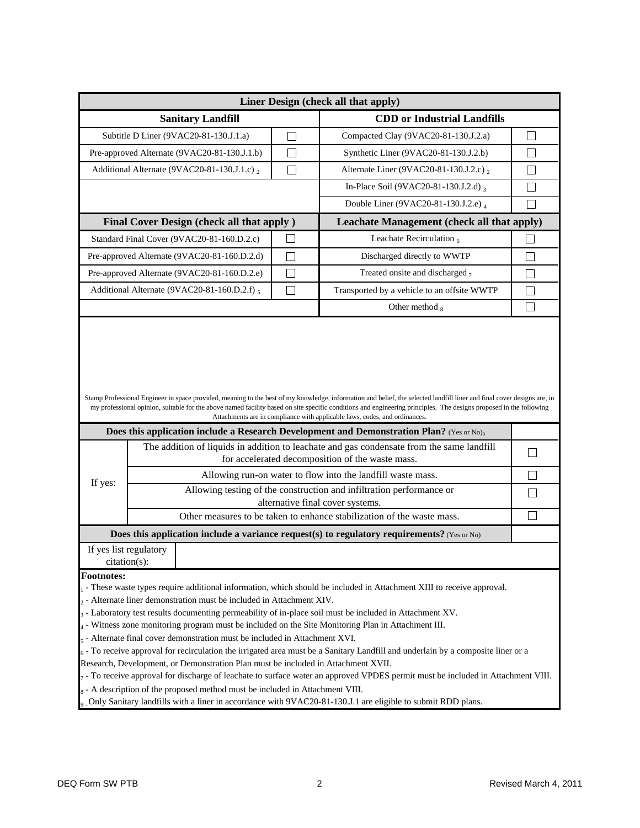| Liner Design (check all that apply)                                                                                                                                                                       |                                                                                                                                                                       |                |                                                                                                                                                                                                                                                                                                                                                                                                                             |              |  |  |  |
|-----------------------------------------------------------------------------------------------------------------------------------------------------------------------------------------------------------|-----------------------------------------------------------------------------------------------------------------------------------------------------------------------|----------------|-----------------------------------------------------------------------------------------------------------------------------------------------------------------------------------------------------------------------------------------------------------------------------------------------------------------------------------------------------------------------------------------------------------------------------|--------------|--|--|--|
| <b>Sanitary Landfill</b>                                                                                                                                                                                  |                                                                                                                                                                       |                | <b>CDD</b> or Industrial Landfills                                                                                                                                                                                                                                                                                                                                                                                          |              |  |  |  |
| Subtitle D Liner (9VAC20-81-130.J.1.a)                                                                                                                                                                    |                                                                                                                                                                       |                | Compacted Clay (9VAC20-81-130.J.2.a)                                                                                                                                                                                                                                                                                                                                                                                        | $\Box$       |  |  |  |
|                                                                                                                                                                                                           | Pre-approved Alternate (9VAC20-81-130.J.1.b)                                                                                                                          | П              | Synthetic Liner (9VAC20-81-130.J.2.b)                                                                                                                                                                                                                                                                                                                                                                                       |              |  |  |  |
|                                                                                                                                                                                                           | Additional Alternate (9VAC20-81-130.J.1.c) 2                                                                                                                          | П              | Alternate Liner (9VAC20-81-130.J.2.c) 2                                                                                                                                                                                                                                                                                                                                                                                     | I.           |  |  |  |
|                                                                                                                                                                                                           |                                                                                                                                                                       |                | In-Place Soil (9VAC20-81-130.J.2.d) 3                                                                                                                                                                                                                                                                                                                                                                                       |              |  |  |  |
|                                                                                                                                                                                                           |                                                                                                                                                                       |                | Double Liner (9VAC20-81-130.J.2.e) 4                                                                                                                                                                                                                                                                                                                                                                                        |              |  |  |  |
| Final Cover Design (check all that apply)                                                                                                                                                                 |                                                                                                                                                                       |                | Leachate Management (check all that apply)                                                                                                                                                                                                                                                                                                                                                                                  |              |  |  |  |
|                                                                                                                                                                                                           | Standard Final Cover (9VAC20-81-160.D.2.c)                                                                                                                            | $\blacksquare$ | Leachate Recirculation $_6$                                                                                                                                                                                                                                                                                                                                                                                                 |              |  |  |  |
|                                                                                                                                                                                                           | Pre-approved Alternate (9VAC20-81-160.D.2.d)                                                                                                                          |                | Discharged directly to WWTP                                                                                                                                                                                                                                                                                                                                                                                                 |              |  |  |  |
|                                                                                                                                                                                                           | Pre-approved Alternate (9VAC20-81-160.D.2.e)                                                                                                                          |                | Treated onsite and discharged $_7$                                                                                                                                                                                                                                                                                                                                                                                          |              |  |  |  |
|                                                                                                                                                                                                           | Additional Alternate (9VAC20-81-160.D.2.f) 5                                                                                                                          |                | Transported by a vehicle to an offsite WWTP                                                                                                                                                                                                                                                                                                                                                                                 | Г            |  |  |  |
|                                                                                                                                                                                                           |                                                                                                                                                                       |                | Other method 8                                                                                                                                                                                                                                                                                                                                                                                                              | $\mathbf{I}$ |  |  |  |
|                                                                                                                                                                                                           |                                                                                                                                                                       |                | Stamp Professional Engineer in space provided, meaning to the best of my knowledge, information and belief, the selected landfill liner and final cover designs are, in<br>my professional opinion, suitable for the above named facility based on site specific conditions and engineering principles. The designs proposed in the following<br>Attachments are in compliance with applicable laws, codes, and ordinances. |              |  |  |  |
| <b>Does this application include a Research Development and Demonstration Plan?</b> (Yes or No) <sub>9</sub><br>The addition of liquids in addition to leachate and gas condensate from the same landfill |                                                                                                                                                                       |                |                                                                                                                                                                                                                                                                                                                                                                                                                             |              |  |  |  |
|                                                                                                                                                                                                           | for accelerated decomposition of the waste mass.                                                                                                                      |                |                                                                                                                                                                                                                                                                                                                                                                                                                             |              |  |  |  |
|                                                                                                                                                                                                           |                                                                                                                                                                       |                | Allowing run-on water to flow into the landfill waste mass.                                                                                                                                                                                                                                                                                                                                                                 |              |  |  |  |
| If yes:                                                                                                                                                                                                   | Allowing testing of the construction and infiltration performance or                                                                                                  |                |                                                                                                                                                                                                                                                                                                                                                                                                                             |              |  |  |  |
|                                                                                                                                                                                                           | alternative final cover systems.                                                                                                                                      |                |                                                                                                                                                                                                                                                                                                                                                                                                                             |              |  |  |  |
|                                                                                                                                                                                                           | Other measures to be taken to enhance stabilization of the waste mass.<br>Does this application include a variance request(s) to regulatory requirements? (Yes or No) |                |                                                                                                                                                                                                                                                                                                                                                                                                                             |              |  |  |  |
|                                                                                                                                                                                                           | If yes list regulatory                                                                                                                                                |                |                                                                                                                                                                                                                                                                                                                                                                                                                             |              |  |  |  |
|                                                                                                                                                                                                           | citation(s):                                                                                                                                                          |                |                                                                                                                                                                                                                                                                                                                                                                                                                             |              |  |  |  |
| <b>Footnotes:</b>                                                                                                                                                                                         |                                                                                                                                                                       |                |                                                                                                                                                                                                                                                                                                                                                                                                                             |              |  |  |  |
|                                                                                                                                                                                                           | $_2$ - Alternate liner demonstration must be included in Attachment XIV.                                                                                              |                | - These waste types require additional information, which should be included in Attachment XIII to receive approval.                                                                                                                                                                                                                                                                                                        |              |  |  |  |
|                                                                                                                                                                                                           | $_3$ - Laboratory test results documenting permeability of in-place soil must be included in Attachment XV.                                                           |                |                                                                                                                                                                                                                                                                                                                                                                                                                             |              |  |  |  |
|                                                                                                                                                                                                           | 4 - Witness zone monitoring program must be included on the Site Monitoring Plan in Attachment III.                                                                   |                |                                                                                                                                                                                                                                                                                                                                                                                                                             |              |  |  |  |
|                                                                                                                                                                                                           | $5$ - Alternate final cover demonstration must be included in Attachment XVI.                                                                                         |                |                                                                                                                                                                                                                                                                                                                                                                                                                             |              |  |  |  |
|                                                                                                                                                                                                           |                                                                                                                                                                       |                | $6 -$ To receive approval for recirculation the irrigated area must be a Sanitary Landfill and underlain by a composite liner or a                                                                                                                                                                                                                                                                                          |              |  |  |  |
|                                                                                                                                                                                                           | Research, Development, or Demonstration Plan must be included in Attachment XVII.                                                                                     |                |                                                                                                                                                                                                                                                                                                                                                                                                                             |              |  |  |  |
|                                                                                                                                                                                                           | - To receive approval for discharge of leachate to surface water an approved VPDES permit must be included in Attachment VIII.                                        |                |                                                                                                                                                                                                                                                                                                                                                                                                                             |              |  |  |  |
| 8 - A description of the proposed method must be included in Attachment VIII.                                                                                                                             |                                                                                                                                                                       |                |                                                                                                                                                                                                                                                                                                                                                                                                                             |              |  |  |  |
| o_Only Sanitary landfills with a liner in accordance with 9VAC20-81-130.J.1 are eligible to submit RDD plans.                                                                                             |                                                                                                                                                                       |                |                                                                                                                                                                                                                                                                                                                                                                                                                             |              |  |  |  |